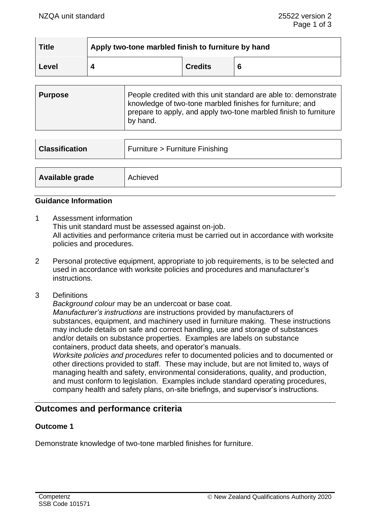| <b>Title</b> | Apply two-tone marbled finish to furniture by hand |                |   |
|--------------|----------------------------------------------------|----------------|---|
| Level        |                                                    | <b>Credits</b> | 6 |

| <b>Purpose</b> | People credited with this unit standard are able to: demonstrate<br>knowledge of two-tone marbled finishes for furniture; and<br>prepare to apply, and apply two-tone marbled finish to furniture |
|----------------|---------------------------------------------------------------------------------------------------------------------------------------------------------------------------------------------------|
|                | by hand.                                                                                                                                                                                          |

| <b>Classification</b> | Furniture > Furniture Finishing |
|-----------------------|---------------------------------|
|                       |                                 |
| Available grade       | Achieved                        |

#### **Guidance Information**

- 1 Assessment information This unit standard must be assessed against on-job. All activities and performance criteria must be carried out in accordance with worksite policies and procedures.
- 2 Personal protective equipment, appropriate to job requirements, is to be selected and used in accordance with worksite policies and procedures and manufacturer's instructions.
- 3 Definitions

*Background colour* may be an undercoat or base coat. *Manufacturer's instructions* are instructions provided by manufacturers of substances, equipment, and machinery used in furniture making. These instructions may include details on safe and correct handling, use and storage of substances and/or details on substance properties. Examples are labels on substance containers, product data sheets, and operator's manuals.

*Worksite policies and procedures* refer to documented policies and to documented or other directions provided to staff. These may include, but are not limited to, ways of managing health and safety, environmental considerations, quality, and production, and must conform to legislation. Examples include standard operating procedures, company health and safety plans, on-site briefings, and supervisor's instructions.

# **Outcomes and performance criteria**

#### **Outcome 1**

Demonstrate knowledge of two-tone marbled finishes for furniture.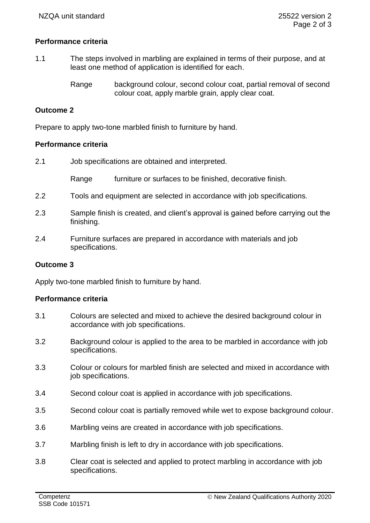# **Performance criteria**

- 1.1 The steps involved in marbling are explained in terms of their purpose, and at least one method of application is identified for each.
	- Range background colour, second colour coat, partial removal of second colour coat, apply marble grain, apply clear coat.

# **Outcome 2**

Prepare to apply two-tone marbled finish to furniture by hand.

#### **Performance criteria**

| 2.1 | Job specifications are obtained and interpreted. |                                                          |  |
|-----|--------------------------------------------------|----------------------------------------------------------|--|
|     | Range                                            | furniture or surfaces to be finished, decorative finish. |  |

- 2.2 Tools and equipment are selected in accordance with job specifications.
- 2.3 Sample finish is created, and client's approval is gained before carrying out the finishing.
- 2.4 Furniture surfaces are prepared in accordance with materials and job specifications.

#### **Outcome 3**

Apply two-tone marbled finish to furniture by hand.

#### **Performance criteria**

- 3.1 Colours are selected and mixed to achieve the desired background colour in accordance with job specifications.
- 3.2 Background colour is applied to the area to be marbled in accordance with job specifications.
- 3.3 Colour or colours for marbled finish are selected and mixed in accordance with job specifications.
- 3.4 Second colour coat is applied in accordance with job specifications.
- 3.5 Second colour coat is partially removed while wet to expose background colour.
- 3.6 Marbling veins are created in accordance with job specifications.
- 3.7 Marbling finish is left to dry in accordance with job specifications.
- 3.8 Clear coat is selected and applied to protect marbling in accordance with job specifications.